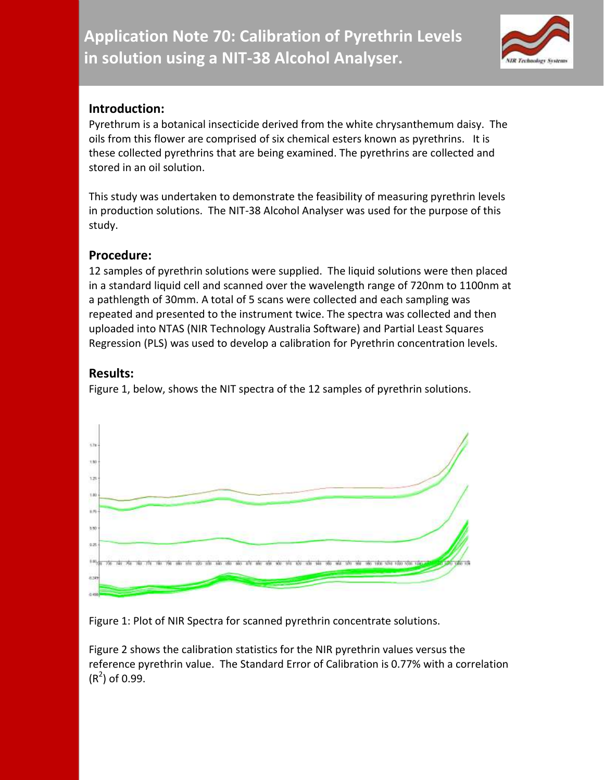

## **Introduction:**

Pyrethrum is a botanical insecticide derived from the white chrysanthemum daisy. The oils from this flower are comprised of six chemical esters known as pyrethrins. It is these collected pyrethrins that are being examined. The pyrethrins are collected and stored in an oil solution.

This study was undertaken to demonstrate the feasibility of measuring pyrethrin levels in production solutions. The NIT-38 Alcohol Analyser was used for the purpose of this study.

## **Procedure:**

12 samples of pyrethrin solutions were supplied. The liquid solutions were then placed in a standard liquid cell and scanned over the wavelength range of 720nm to 1100nm at a pathlength of 30mm. A total of 5 scans were collected and each sampling was repeated and presented to the instrument twice. The spectra was collected and then uploaded into NTAS (NIR Technology Australia Software) and Partial Least Squares Regression (PLS) was used to develop a calibration for Pyrethrin concentration levels.

## **Results:**

Figure 1, below, shows the NIT spectra of the 12 samples of pyrethrin solutions.



Figure 1: Plot of NIR Spectra for scanned pyrethrin concentrate solutions.

Figure 2 shows the calibration statistics for the NIR pyrethrin values versus the reference pyrethrin value. The Standard Error of Calibration is 0.77% with a correlation  $(R<sup>2</sup>)$  of 0.99.